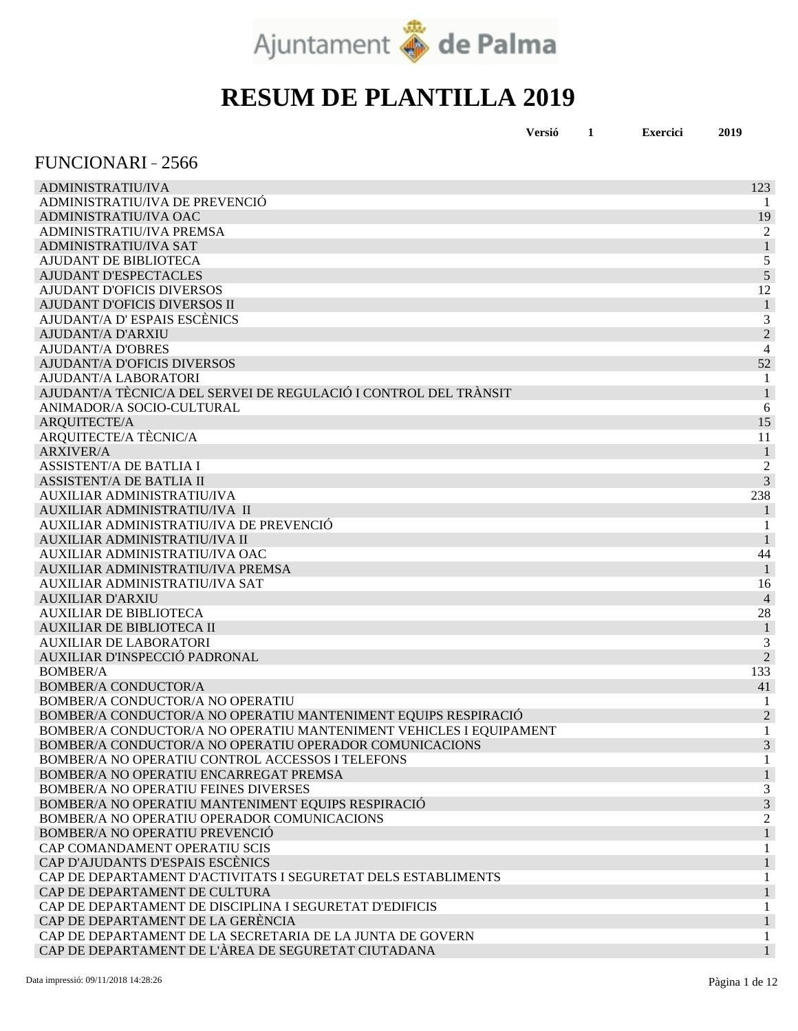

| Versió | <b>Exercici</b> | 2019 |
|--------|-----------------|------|
|        |                 |      |

#### FUNCIONARI 2566

| <b>ADMINISTRATIU/IVA</b>                                           | 123                      |
|--------------------------------------------------------------------|--------------------------|
| ADMINISTRATIU/IVA DE PREVENCIÓ                                     | -1                       |
| ADMINISTRATIU/IVA OAC                                              | 19                       |
| ADMINISTRATIU/IVA PREMSA                                           | $\overline{c}$           |
| <b>ADMINISTRATIU/IVA SAT</b>                                       | $\mathbf{1}$             |
| AJUDANT DE BIBLIOTECA                                              | 5                        |
| <b>AJUDANT D'ESPECTACLES</b>                                       | 5                        |
| AJUDANT D'OFICIS DIVERSOS                                          | 12                       |
| AJUDANT D'OFICIS DIVERSOS II                                       |                          |
| AJUDANT/A D'ESPAIS ESCÈNICS                                        | 3                        |
| <b>AJUDANT/A D'ARXIU</b>                                           | $\overline{2}$           |
| <b>AJUDANT/A D'OBRES</b>                                           | 4                        |
| <b>AJUDANT/A D'OFICIS DIVERSOS</b>                                 | 52                       |
| AJUDANT/A LABORATORI                                               | 1                        |
| AJUDANT/A TÈCNIC/A DEL SERVEI DE REGULACIÓ I CONTROL DEL TRÀNSIT   |                          |
| ANIMADOR/A SOCIO-CULTURAL                                          | 6                        |
| ARQUITECTE/A                                                       | 15                       |
| ARQUITECTE/A TÈCNIC/A                                              | 11                       |
| <b>ARXIVER/A</b>                                                   | $\mathbf{1}$             |
| <b>ASSISTENT/A DE BATLIA I</b>                                     | $\overline{c}$           |
| <b>ASSISTENT/A DE BATLIA II</b>                                    | 3                        |
| <b>AUXILIAR ADMINISTRATIU/IVA</b>                                  | 238                      |
| AUXILIAR ADMINISTRATIU/IVA II                                      | 1                        |
| AUXILIAR ADMINISTRATIU/IVA DE PREVENCIÓ                            | 1                        |
| AUXILIAR ADMINISTRATIU/IVA II                                      |                          |
| AUXILIAR ADMINISTRATIU/IVA OAC                                     | 44                       |
| AUXILIAR ADMINISTRATIU/IVA PREMSA                                  | $\mathbf{1}$             |
| AUXILIAR ADMINISTRATIU/IVA SAT                                     | 16                       |
| <b>AUXILIAR D'ARXIU</b>                                            | $\overline{\mathcal{L}}$ |
| <b>AUXILIAR DE BIBLIOTECA</b>                                      | 28                       |
| <b>AUXILIAR DE BIBLIOTECA II</b>                                   | $\mathbf{1}$             |
| <b>AUXILIAR DE LABORATORI</b>                                      | 3                        |
| AUXILIAR D'INSPECCIÓ PADRONAL                                      | $\overline{2}$           |
| <b>BOMBER/A</b>                                                    | 133                      |
| <b>BOMBER/A CONDUCTOR/A</b>                                        | 41                       |
| BOMBER/A CONDUCTOR/A NO OPERATIU                                   |                          |
| BOMBER/A CONDUCTOR/A NO OPERATIU MANTENIMENT EQUIPS RESPIRACIÓ     | $\overline{2}$           |
| BOMBER/A CONDUCTOR/A NO OPERATIU MANTENIMENT VEHICLES I EQUIPAMENT | 1                        |
| BOMBER/A CONDUCTOR/A NO OPERATIU OPERADOR COMUNICACIONS            | 3                        |
| BOMBER/A NO OPERATIU CONTROL ACCESSOS I TELEFONS                   |                          |
| BOMBER/A NO OPERATIU ENCARREGAT PREMSA                             |                          |
| BOMBER/A NO OPERATIU FEINES DIVERSES                               | 3                        |
| BOMBER/A NO OPERATIU MANTENIMENT EQUIPS RESPIRACIÓ                 | 3                        |
| BOMBER/A NO OPERATIU OPERADOR COMUNICACIONS                        | 2                        |
| <b>BOMBER/A NO OPERATIU PREVENCIÓ</b>                              |                          |
| CAP COMANDAMENT OPERATIU SCIS                                      |                          |
| CAP D'AJUDANTS D'ESPAIS ESCÈNICS                                   |                          |
| CAP DE DEPARTAMENT D'ACTIVITATS I SEGURETAT DELS ESTABLIMENTS      |                          |
| CAP DE DEPARTAMENT DE CULTURA                                      |                          |
| CAP DE DEPARTAMENT DE DISCIPLINA I SEGURETAT D'EDIFICIS            |                          |
| CAP DE DEPARTAMENT DE LA GERÈNCIA                                  |                          |
| CAP DE DEPARTAMENT DE LA SECRETARIA DE LA JUNTA DE GOVERN          |                          |
| CAP DE DEPARTAMENT DE L'ÀREA DE SEGURETAT CIUTADANA                |                          |
|                                                                    |                          |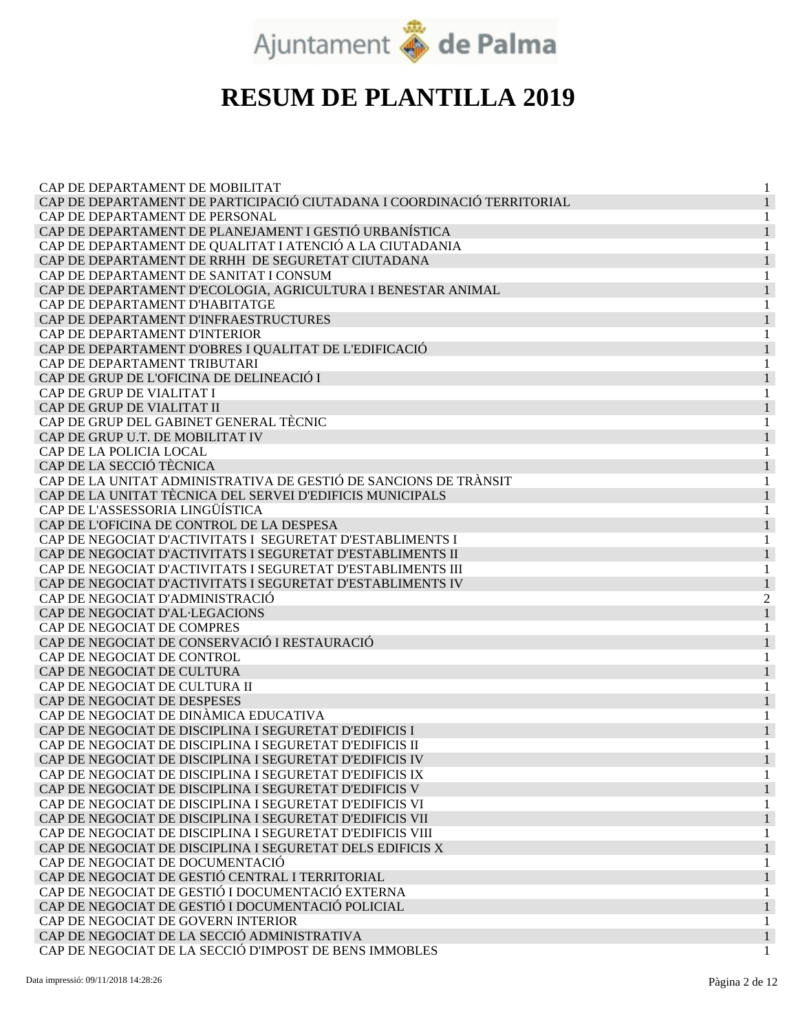

| CAP DE DEPARTAMENT DE MOBILITAT<br>CAP DE DEPARTAMENT DE PARTICIPACIÓ CIUTADANA I COORDINACIÓ TERRITORIAL<br>CAP DE DEPARTAMENT DE PERSONAL<br>CAP DE DEPARTAMENT DE PLANEJAMENT I GESTIÓ URBANÍSTICA |
|-------------------------------------------------------------------------------------------------------------------------------------------------------------------------------------------------------|
|                                                                                                                                                                                                       |
|                                                                                                                                                                                                       |
|                                                                                                                                                                                                       |
|                                                                                                                                                                                                       |
| CAP DE DEPARTAMENT DE QUALITAT I ATENCIÓ A LA CIUTADANIA                                                                                                                                              |
| CAP DE DEPARTAMENT DE RRHH DE SEGURETAT CIUTADANA                                                                                                                                                     |
| CAP DE DEPARTAMENT DE SANITAT I CONSUM<br>1                                                                                                                                                           |
| CAP DE DEPARTAMENT D'ECOLOGIA, AGRICULTURA I BENESTAR ANIMAL                                                                                                                                          |
| CAP DE DEPARTAMENT D'HABITATGE<br>1                                                                                                                                                                   |
| CAP DE DEPARTAMENT D'INFRAESTRUCTURES                                                                                                                                                                 |
| CAP DE DEPARTAMENT D'INTERIOR                                                                                                                                                                         |
| CAP DE DEPARTAMENT D'OBRES I QUALITAT DE L'EDIFICACIÓ                                                                                                                                                 |
| CAP DE DEPARTAMENT TRIBUTARI                                                                                                                                                                          |
| CAP DE GRUP DE L'OFICINA DE DELINEACIÓ I                                                                                                                                                              |
| CAP DE GRUP DE VIALITAT I<br>1                                                                                                                                                                        |
| CAP DE GRUP DE VIALITAT II                                                                                                                                                                            |
| CAP DE GRUP DEL GABINET GENERAL TÈCNIC<br>1                                                                                                                                                           |
| CAP DE GRUP U.T. DE MOBILITAT IV                                                                                                                                                                      |
| CAP DE LA POLICIA LOCAL                                                                                                                                                                               |
| CAP DE LA SECCIÓ TÈCNICA                                                                                                                                                                              |
| CAP DE LA UNITAT ADMINISTRATIVA DE GESTIÓ DE SANCIONS DE TRÀNSIT                                                                                                                                      |
| CAP DE LA UNITAT TÈCNICA DEL SERVEI D'EDIFICIS MUNICIPALS                                                                                                                                             |
| CAP DE L'ASSESSORIA LINGÜÍSTICA<br>1                                                                                                                                                                  |
| CAP DE L'OFICINA DE CONTROL DE LA DESPESA                                                                                                                                                             |
| CAP DE NEGOCIAT D'ACTIVITATS I SEGURETAT D'ESTABLIMENTS I<br>1                                                                                                                                        |
| CAP DE NEGOCIAT D'ACTIVITATS I SEGURETAT D'ESTABLIMENTS II                                                                                                                                            |
| CAP DE NEGOCIAT D'ACTIVITATS I SEGURETAT D'ESTABLIMENTS III                                                                                                                                           |
| CAP DE NEGOCIAT D'ACTIVITATS I SEGURETAT D'ESTABLIMENTS IV                                                                                                                                            |
| CAP DE NEGOCIAT D'ADMINISTRACIÓ<br>2                                                                                                                                                                  |
| CAP DE NEGOCIAT D'AL·LEGACIONS                                                                                                                                                                        |
| CAP DE NEGOCIAT DE COMPRES                                                                                                                                                                            |
| CAP DE NEGOCIAT DE CONSERVACIÓ I RESTAURACIÓ<br>$\mathbf{1}$                                                                                                                                          |
| CAP DE NEGOCIAT DE CONTROL<br>1                                                                                                                                                                       |
| CAP DE NEGOCIAT DE CULTURA                                                                                                                                                                            |
| CAP DE NEGOCIAT DE CULTURA II                                                                                                                                                                         |
| CAP DE NEGOCIAT DE DESPESES                                                                                                                                                                           |
| CAP DE NEGOCIAT DE DINÀMICA EDUCATIVA                                                                                                                                                                 |
| CAP DE NEGOCIAT DE DISCIPLINA I SEGURETAT D'EDIFICIS I                                                                                                                                                |
| CAP DE NEGOCIAT DE DISCIPLINA I SEGURETAT D'EDIFICIS II                                                                                                                                               |
| CAP DE NEGOCIAT DE DISCIPLINA I SEGURETAT D'EDIFICIS IV                                                                                                                                               |
| CAP DE NEGOCIAT DE DISCIPLINA I SEGURETAT D'EDIFICIS IX<br>1                                                                                                                                          |
| CAP DE NEGOCIAT DE DISCIPLINA I SEGURETAT D'EDIFICIS V                                                                                                                                                |
| CAP DE NEGOCIAT DE DISCIPLINA I SEGURETAT D'EDIFICIS VI                                                                                                                                               |
| CAP DE NEGOCIAT DE DISCIPLINA I SEGURETAT D'EDIFICIS VII                                                                                                                                              |
| CAP DE NEGOCIAT DE DISCIPLINA I SEGURETAT D'EDIFICIS VIII                                                                                                                                             |
| CAP DE NEGOCIAT DE DISCIPLINA I SEGURETAT DELS EDIFICIS X                                                                                                                                             |
| CAP DE NEGOCIAT DE DOCUMENTACIÓ                                                                                                                                                                       |
| CAP DE NEGOCIAT DE GESTIÓ CENTRAL I TERRITORIAL<br>1                                                                                                                                                  |
| CAP DE NEGOCIAT DE GESTIÓ I DOCUMENTACIÓ EXTERNA<br>1                                                                                                                                                 |
| CAP DE NEGOCIAT DE GESTIÓ I DOCUMENTACIÓ POLICIAL                                                                                                                                                     |
| CAP DE NEGOCIAT DE GOVERN INTERIOR                                                                                                                                                                    |
| CAP DE NEGOCIAT DE LA SECCIÓ ADMINISTRATIVA                                                                                                                                                           |
| CAP DE NEGOCIAT DE LA SECCIÓ D'IMPOST DE BENS IMMOBLES                                                                                                                                                |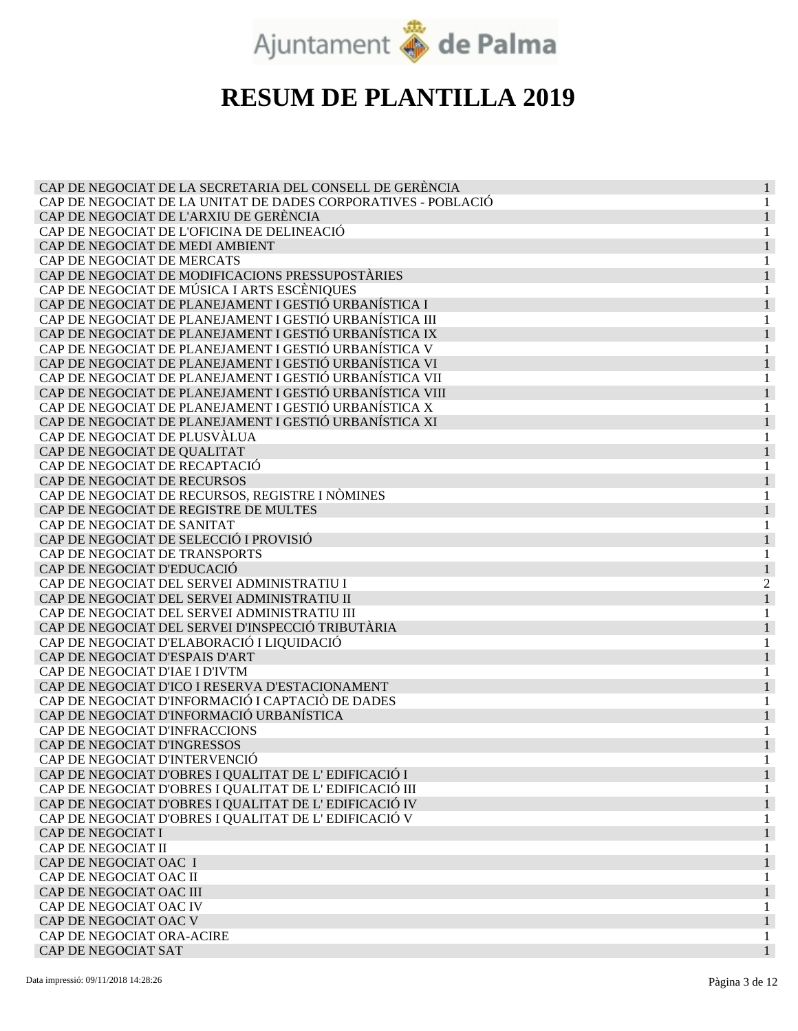

| CAP DE NEGOCIAT DE LA SECRETARIA DEL CONSELL DE GERÈNCIA                                                        |  |
|-----------------------------------------------------------------------------------------------------------------|--|
| CAP DE NEGOCIAT DE LA UNITAT DE DADES CORPORATIVES - POBLACIÓ                                                   |  |
| CAP DE NEGOCIAT DE L'ARXIU DE GERÈNCIA                                                                          |  |
| CAP DE NEGOCIAT DE L'OFICINA DE DELINEACIÓ                                                                      |  |
| CAP DE NEGOCIAT DE MEDI AMBIENT                                                                                 |  |
| CAP DE NEGOCIAT DE MERCATS                                                                                      |  |
| CAP DE NEGOCIAT DE MODIFICACIONS PRESSUPOSTÀRIES                                                                |  |
| CAP DE NEGOCIAT DE MÚSICA I ARTS ESCÈNIQUES                                                                     |  |
| CAP DE NEGOCIAT DE PLANEJAMENT I GESTIÓ URBANÍSTICA I                                                           |  |
| CAP DE NEGOCIAT DE PLANEJAMENT I GESTIÓ URBANÍSTICA III                                                         |  |
| CAP DE NEGOCIAT DE PLANEJAMENT I GESTIÓ URBANÍSTICA IX                                                          |  |
| CAP DE NEGOCIAT DE PLANEJAMENT I GESTIÓ URBANÍSTICA V                                                           |  |
| CAP DE NEGOCIAT DE PLANEJAMENT I GESTIÓ URBANÍSTICA VI                                                          |  |
| CAP DE NEGOCIAT DE PLANEJAMENT I GESTIÓ URBANÍSTICA VII                                                         |  |
| CAP DE NEGOCIAT DE PLANEJAMENT I GESTIÓ URBANÍSTICA VIII                                                        |  |
| CAP DE NEGOCIAT DE PLANEJAMENT I GESTIÓ URBANÍSTICA X                                                           |  |
| CAP DE NEGOCIAT DE PLANEJAMENT I GESTIÓ URBANÍSTICA XI                                                          |  |
| CAP DE NEGOCIAT DE PLUSVÀLUA                                                                                    |  |
| CAP DE NEGOCIAT DE QUALITAT                                                                                     |  |
| CAP DE NEGOCIAT DE RECAPTACIÓ                                                                                   |  |
| CAP DE NEGOCIAT DE RECURSOS                                                                                     |  |
| CAP DE NEGOCIAT DE RECURSOS, REGISTRE I NÒMINES                                                                 |  |
| CAP DE NEGOCIAT DE REGISTRE DE MULTES                                                                           |  |
| CAP DE NEGOCIAT DE SANITAT                                                                                      |  |
| CAP DE NEGOCIAT DE SELECCIÓ I PROVISIÓ                                                                          |  |
| CAP DE NEGOCIAT DE TRANSPORTS                                                                                   |  |
| CAP DE NEGOCIAT D'EDUCACIÓ                                                                                      |  |
| CAP DE NEGOCIAT DEL SERVEI ADMINISTRATIU I                                                                      |  |
| CAP DE NEGOCIAT DEL SERVEI ADMINISTRATIU II                                                                     |  |
| CAP DE NEGOCIAT DEL SERVEI ADMINISTRATIU III                                                                    |  |
| CAP DE NEGOCIAT DEL SERVEI D'INSPECCIÓ TRIBUTÀRIA                                                               |  |
| CAP DE NEGOCIAT D'ELABORACIÓ I LIQUIDACIÓ                                                                       |  |
| CAP DE NEGOCIAT D'ESPAIS D'ART                                                                                  |  |
| CAP DE NEGOCIAT D'IAE I D'IVTM                                                                                  |  |
| CAP DE NEGOCIAT D'ICO I RESERVA D'ESTACIONAMENT                                                                 |  |
| CAP DE NEGOCIAT D'INFORMACIÓ I CAPTACIÓ DE DADES                                                                |  |
| CAP DE NEGOCIAT D'INFORMACIÓ URBANÍSTICA                                                                        |  |
| CAP DE NEGOCIAT D'INFRACCIONS                                                                                   |  |
| CAP DE NEGOCIAT D'INGRESSOS                                                                                     |  |
| CAP DE NEGOCIAT D'INTERVENCIÓ                                                                                   |  |
|                                                                                                                 |  |
| CAP DE NEGOCIAT D'OBRES I QUALITAT DE L'EDIFICACIÓ I                                                            |  |
| CAP DE NEGOCIAT D'OBRES I QUALITAT DE L'EDIFICACIÓ III<br>CAP DE NEGOCIAT D'OBRES I QUALITAT DE L'EDIFICACIÓ IV |  |
|                                                                                                                 |  |
| CAP DE NEGOCIAT D'OBRES I QUALITAT DE L'EDIFICACIÓ V                                                            |  |
| CAP DE NEGOCIAT I                                                                                               |  |
| CAP DE NEGOCIAT II                                                                                              |  |
| CAP DE NEGOCIAT OAC I                                                                                           |  |
| CAP DE NEGOCIAT OAC II                                                                                          |  |
| CAP DE NEGOCIAT OAC III                                                                                         |  |
| CAP DE NEGOCIAT OAC IV                                                                                          |  |
| CAP DE NEGOCIAT OAC V                                                                                           |  |
| CAP DE NEGOCIAT ORA-ACIRE                                                                                       |  |
| CAP DE NEGOCIAT SAT                                                                                             |  |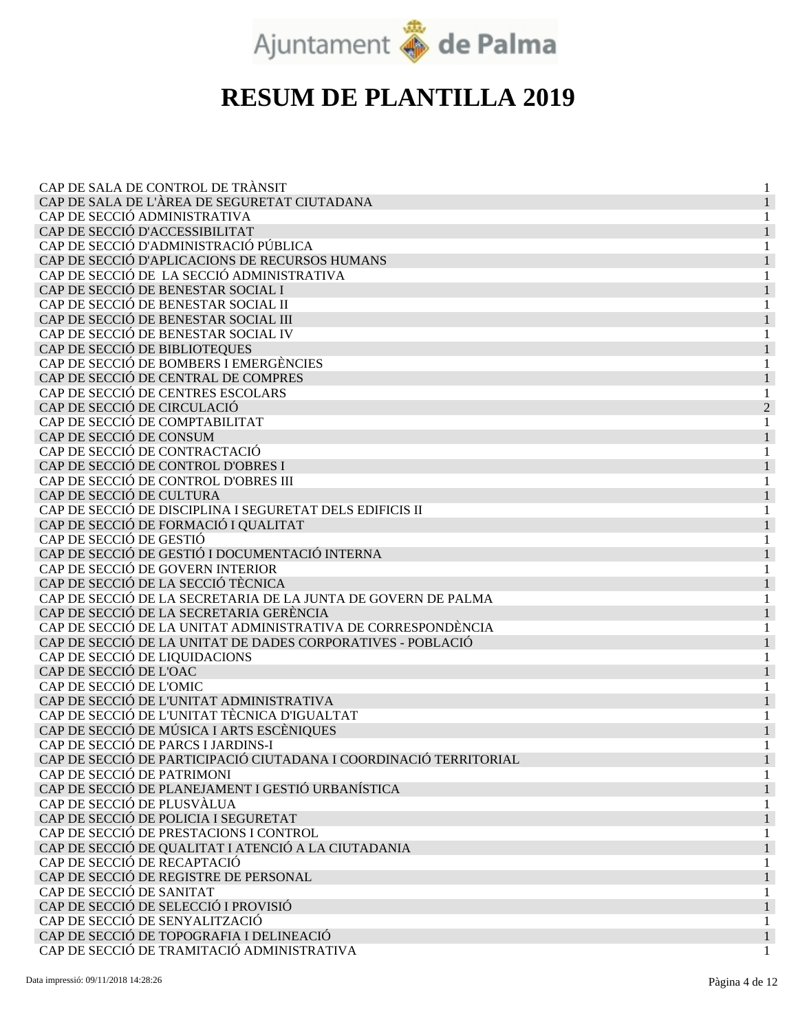

| CAP DE SALA DE CONTROL DE TRÀNSIT                                 |                |
|-------------------------------------------------------------------|----------------|
| CAP DE SALA DE L'ÀREA DE SEGURETAT CIUTADANA                      |                |
| CAP DE SECCIÓ ADMINISTRATIVA                                      |                |
| CAP DE SECCIÓ D'ACCESSIBILITAT                                    |                |
| CAP DE SECCIÓ D'ADMINISTRACIÓ PÚBLICA                             |                |
| CAP DE SECCIÓ D'APLICACIONS DE RECURSOS HUMANS                    |                |
| CAP DE SECCIÓ DE LA SECCIÓ ADMINISTRATIVA                         |                |
| CAP DE SECCIÓ DE BENESTAR SOCIAL I                                |                |
| CAP DE SECCIÓ DE BENESTAR SOCIAL II                               |                |
| CAP DE SECCIÓ DE BENESTAR SOCIAL III                              |                |
| CAP DE SECCIÓ DE BENESTAR SOCIAL IV                               | 1              |
| CAP DE SECCIÓ DE BIBLIOTEQUES                                     |                |
| CAP DE SECCIÓ DE BOMBERS I EMERGÈNCIES                            |                |
| CAP DE SECCIÓ DE CENTRAL DE COMPRES                               |                |
| CAP DE SECCIÓ DE CENTRES ESCOLARS                                 |                |
| CAP DE SECCIÓ DE CIRCULACIÓ                                       | $\overline{2}$ |
| CAP DE SECCIÓ DE COMPTABILITAT                                    | 1              |
| CAP DE SECCIÓ DE CONSUM                                           |                |
| CAP DE SECCIÓ DE CONTRACTACIÓ                                     | 1              |
| CAP DE SECCIÓ DE CONTROL D'OBRES I                                |                |
| CAP DE SECCIÓ DE CONTROL D'OBRES III                              |                |
| CAP DE SECCIÓ DE CULTURA                                          |                |
| CAP DE SECCIÓ DE DISCIPLINA I SEGURETAT DELS EDIFICIS II          |                |
| CAP DE SECCIÓ DE FORMACIÓ I QUALITAT                              |                |
| CAP DE SECCIÓ DE GESTIÓ                                           |                |
| CAP DE SECCIÓ DE GESTIÓ I DOCUMENTACIÓ INTERNA                    |                |
| CAP DE SECCIÓ DE GOVERN INTERIOR                                  |                |
| CAP DE SECCIÓ DE LA SECCIÓ TÈCNICA                                |                |
| CAP DE SECCIÓ DE LA SECRETARIA DE LA JUNTA DE GOVERN DE PALMA     |                |
| CAP DE SECCIÓ DE LA SECRETARIA GERÈNCIA                           |                |
| CAP DE SECCIÓ DE LA UNITAT ADMINISTRATIVA DE CORRESPONDÈNCIA      |                |
| CAP DE SECCIÓ DE LA UNITAT DE DADES CORPORATIVES - POBLACIÓ       |                |
| CAP DE SECCIÓ DE LIQUIDACIONS                                     |                |
| CAP DE SECCIÓ DE L'OAC                                            |                |
| CAP DE SECCIÓ DE L'OMIC                                           |                |
| CAP DE SECCIÓ DE L'UNITAT ADMINISTRATIVA                          |                |
| CAP DE SECCIÓ DE L'UNITAT TÈCNICA D'IGUALTAT                      |                |
| CAP DE SECCIÓ DE MÚSICA I ARTS ESCÈNIQUES                         |                |
| CAP DE SECCIÓ DE PARCS I JARDINS-I                                |                |
| CAP DE SECCIÓ DE PARTICIPACIÓ CIUTADANA I COORDINACIÓ TERRITORIAL |                |
| CAP DE SECCIÓ DE PATRIMONI                                        |                |
| CAP DE SECCIÓ DE PLANEJAMENT I GESTIÓ URBANÍSTICA                 |                |
| CAP DE SECCIÓ DE PLUSVÀLUA                                        |                |
| CAP DE SECCIÓ DE POLICIA I SEGURETAT                              |                |
| CAP DE SECCIÓ DE PRESTACIONS I CONTROL                            |                |
| CAP DE SECCIÓ DE QUALITAT I ATENCIÓ A LA CIUTADANIA               |                |
| CAP DE SECCIÓ DE RECAPTACIÓ                                       |                |
| CAP DE SECCIÓ DE REGISTRE DE PERSONAL                             |                |
| CAP DE SECCIÓ DE SANITAT                                          |                |
| CAP DE SECCIÓ DE SELECCIÓ I PROVISIÓ                              |                |
| CAP DE SECCIÓ DE SENYALITZACIÓ                                    |                |
| CAP DE SECCIÓ DE TOPOGRAFIA I DELINEACIÓ                          |                |
| CAP DE SECCIÓ DE TRAMITACIÓ ADMINISTRATIVA                        |                |
|                                                                   |                |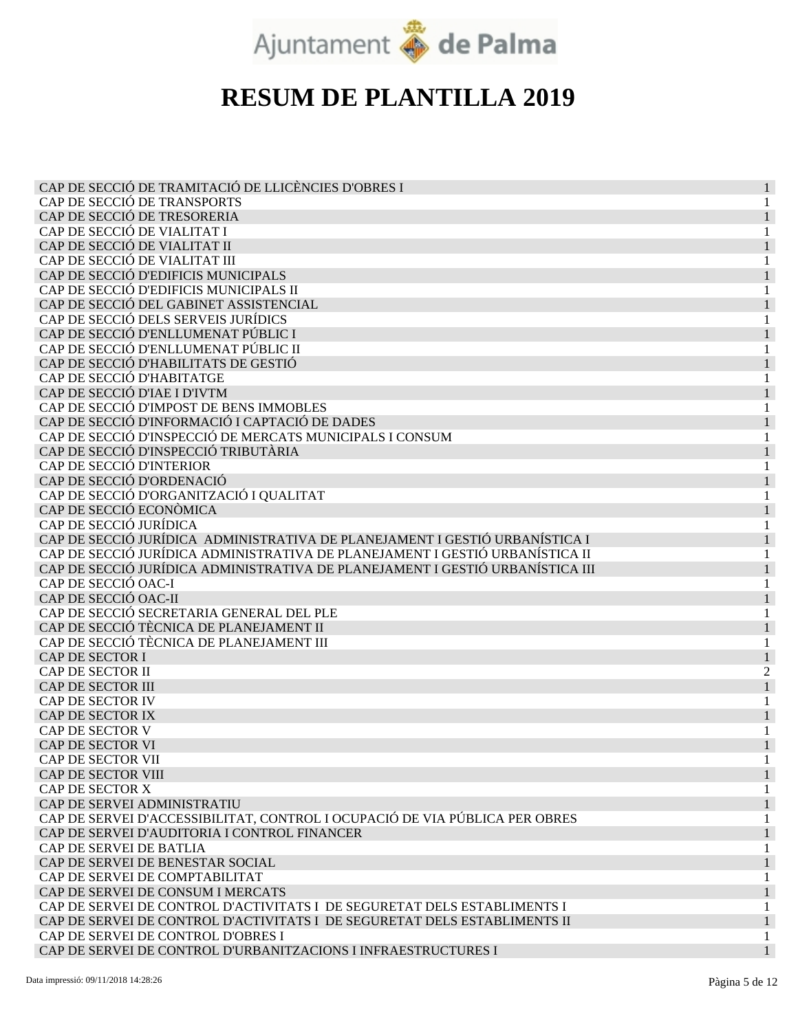

| CAP DE SECCIÓ DE TRAMITACIÓ DE LLICÈNCIES D'OBRES I                           | 1        |
|-------------------------------------------------------------------------------|----------|
| CAP DE SECCIÓ DE TRANSPORTS                                                   | 1        |
| CAP DE SECCIÓ DE TRESORERIA                                                   |          |
| CAP DE SECCIÓ DE VIALITAT I                                                   |          |
| CAP DE SECCIÓ DE VIALITAT II                                                  |          |
| CAP DE SECCIÓ DE VIALITAT III                                                 |          |
| CAP DE SECCIÓ D'EDIFICIS MUNICIPALS                                           |          |
| CAP DE SECCIÓ D'EDIFICIS MUNICIPALS II                                        |          |
| CAP DE SECCIÓ DEL GABINET ASSISTENCIAL                                        |          |
| CAP DE SECCIÓ DELS SERVEIS JURÍDICS                                           | 1        |
| CAP DE SECCIÓ D'ENLLUMENAT PÚBLIC I                                           |          |
| CAP DE SECCIÓ D'ENLLUMENAT PÚBLIC II                                          |          |
| CAP DE SECCIÓ D'HABILITATS DE GESTIÓ                                          |          |
| CAP DE SECCIÓ D'HABITATGE                                                     |          |
| CAP DE SECCIÓ D'IAE I D'IVTM                                                  |          |
| CAP DE SECCIÓ D'IMPOST DE BENS IMMOBLES                                       |          |
| CAP DE SECCIÓ D'INFORMACIÓ I CAPTACIÓ DE DADES                                |          |
| CAP DE SECCIÓ D'INSPECCIÓ DE MERCATS MUNICIPALS I CONSUM                      |          |
| CAP DE SECCIÓ D'INSPECCIÓ TRIBUTÀRIA                                          |          |
| CAP DE SECCIÓ D'INTERIOR                                                      |          |
| CAP DE SECCIÓ D'ORDENACIÓ                                                     |          |
| CAP DE SECCIÓ D'ORGANITZACIÓ I QUALITAT                                       |          |
| CAP DE SECCIÓ ECONÒMICA                                                       |          |
| CAP DE SECCIÓ JURÍDICA                                                        |          |
| CAP DE SECCIÓ JURÍDICA ADMINISTRATIVA DE PLANEJAMENT I GESTIÓ URBANÍSTICA I   |          |
| CAP DE SECCIÓ JURÍDICA ADMINISTRATIVA DE PLANEJAMENT I GESTIÓ URBANÍSTICA II  | 1        |
| CAP DE SECCIÓ JURÍDICA ADMINISTRATIVA DE PLANEJAMENT I GESTIÓ URBANÍSTICA III |          |
| CAP DE SECCIÓ OAC-I                                                           |          |
| CAP DE SECCIÓ OAC-II                                                          |          |
| CAP DE SECCIÓ SECRETARIA GENERAL DEL PLE                                      |          |
| CAP DE SECCIÓ TÈCNICA DE PLANEJAMENT II                                       |          |
| CAP DE SECCIÓ TÈCNICA DE PLANEJAMENT III                                      |          |
| CAP DE SECTOR I                                                               |          |
| CAP DE SECTOR II                                                              | 2        |
| CAP DE SECTOR III                                                             |          |
| CAP DE SECTOR IV                                                              |          |
| CAP DE SECTOR IX                                                              |          |
| CAP DE SECTOR V                                                               |          |
| CAP DE SECTOR VI                                                              |          |
| CAP DE SECTOR VII                                                             |          |
| CAP DE SECTOR VIII                                                            | $\bf{I}$ |
| CAP DE SECTOR X                                                               |          |
| CAP DE SERVEI ADMINISTRATIU                                                   |          |
| CAP DE SERVEI D'ACCESSIBILITAT, CONTROL I OCUPACIÓ DE VIA PÚBLICA PER OBRES   |          |
| CAP DE SERVEI D'AUDITORIA I CONTROL FINANCER                                  |          |
| CAP DE SERVEI DE BATLIA                                                       |          |
| CAP DE SERVEI DE BENESTAR SOCIAL                                              |          |
| CAP DE SERVEI DE COMPTABILITAT                                                |          |
|                                                                               |          |
| CAP DE SERVEI DE CONSUM I MERCATS                                             |          |
| CAP DE SERVEI DE CONTROL D'ACTIVITATS I DE SEGURETAT DELS ESTABLIMENTS I      |          |
| CAP DE SERVEI DE CONTROL D'ACTIVITATS I DE SEGURETAT DELS ESTABLIMENTS II     |          |
| CAP DE SERVEI DE CONTROL D'OBRES I                                            | 1        |
| CAP DE SERVEI DE CONTROL D'URBANITZACIONS I INFRAESTRUCTURES I                |          |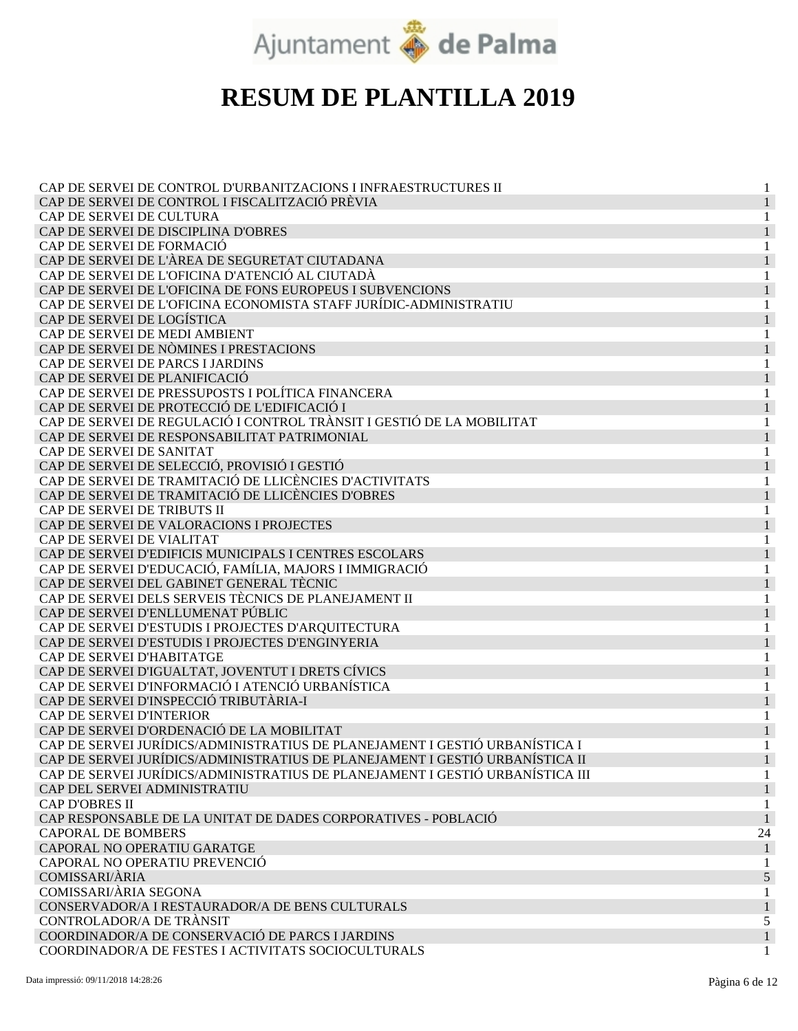

| CAP DE SERVEI DE CONTROL D'URBANITZACIONS I INFRAESTRUCTURES II               |    |
|-------------------------------------------------------------------------------|----|
| CAP DE SERVEI DE CONTROL I FISCALITZACIÓ PRÈVIA                               |    |
| CAP DE SERVEI DE CULTURA                                                      |    |
| CAP DE SERVEI DE DISCIPLINA D'OBRES                                           |    |
| CAP DE SERVEI DE FORMACIÓ                                                     |    |
| CAP DE SERVEI DE L'ÀREA DE SEGURETAT CIUTADANA                                |    |
| CAP DE SERVEI DE L'OFICINA D'ATENCIÓ AL CIUTADÀ                               |    |
| CAP DE SERVEI DE L'OFICINA DE FONS EUROPEUS I SUBVENCIONS                     | 1  |
| CAP DE SERVEI DE L'OFICINA ECONOMISTA STAFF JURÍDIC-ADMINISTRATIU             | 1  |
| CAP DE SERVEI DE LOGÍSTICA                                                    |    |
| CAP DE SERVEI DE MEDI AMBIENT                                                 |    |
| CAP DE SERVEI DE NÒMINES I PRESTACIONS                                        |    |
| CAP DE SERVEI DE PARCS I JARDINS                                              |    |
| CAP DE SERVEI DE PLANIFICACIÓ                                                 |    |
| CAP DE SERVEI DE PRESSUPOSTS I POLÍTICA FINANCERA                             |    |
| CAP DE SERVEI DE PROTECCIÓ DE L'EDIFICACIÓ I                                  | 1  |
| CAP DE SERVEI DE REGULACIÓ I CONTROL TRÀNSIT I GESTIÓ DE LA MOBILITAT         | 1  |
| CAP DE SERVEI DE RESPONSABILITAT PATRIMONIAL                                  |    |
| CAP DE SERVEI DE SANITAT                                                      |    |
| CAP DE SERVEI DE SELECCIÓ, PROVISIÓ I GESTIÓ                                  |    |
| CAP DE SERVEI DE TRAMITACIÓ DE LLICÈNCIES D'ACTIVITATS                        |    |
| CAP DE SERVEI DE TRAMITACIÓ DE LLICÈNCIES D'OBRES                             |    |
| CAP DE SERVEI DE TRIBUTS II                                                   |    |
| CAP DE SERVEI DE VALORACIONS I PROJECTES                                      |    |
| CAP DE SERVEI DE VIALITAT                                                     | 1  |
| CAP DE SERVEI D'EDIFICIS MUNICIPALS I CENTRES ESCOLARS                        |    |
| CAP DE SERVEI D'EDUCACIÓ, FAMÍLIA, MAJORS I IMMIGRACIÓ                        |    |
| CAP DE SERVEI DEL GABINET GENERAL TÈCNIC                                      |    |
| CAP DE SERVEI DELS SERVEIS TÈCNICS DE PLANEJAMENT II                          |    |
| CAP DE SERVEI D'ENLLUMENAT PÚBLIC                                             |    |
| CAP DE SERVEI D'ESTUDIS I PROJECTES D'ARQUITECTURA                            |    |
| CAP DE SERVEI D'ESTUDIS I PROJECTES D'ENGINYERIA                              |    |
| CAP DE SERVEI D'HABITATGE                                                     |    |
| CAP DE SERVEI D'IGUALTAT, JOVENTUT I DRETS CÍVICS                             |    |
| CAP DE SERVEI D'INFORMACIÓ I ATENCIÓ URBANÍSTICA                              |    |
| CAP DE SERVEI D'INSPECCIÓ TRIBUTÀRIA-I                                        |    |
| CAP DE SERVEI D'INTERIOR                                                      |    |
| CAP DE SERVEI D'ORDENACIÓ DE LA MOBILITAT                                     |    |
| CAP DE SERVEI JURÍDICS/ADMINISTRATIUS DE PLANEJAMENT I GESTIÓ URBANÍSTICA I   |    |
| CAP DE SERVEI JURÍDICS/ADMINISTRATIUS DE PLANEJAMENT I GESTIÓ URBANÍSTICA II  |    |
| CAP DE SERVEI JURÍDICS/ADMINISTRATIUS DE PLANEJAMENT I GESTIÓ URBANÍSTICA III | 1  |
| CAP DEL SERVEI ADMINISTRATIU                                                  |    |
| <b>CAP D'OBRES II</b>                                                         | 1  |
| CAP RESPONSABLE DE LA UNITAT DE DADES CORPORATIVES - POBLACIÓ                 |    |
| <b>CAPORAL DE BOMBERS</b>                                                     | 24 |
| CAPORAL NO OPERATIU GARATGE                                                   |    |
| CAPORAL NO OPERATIU PREVENCIÓ                                                 |    |
| <b>COMISSARI/ÀRIA</b>                                                         | 5  |
| COMISSARI/ÀRIA SEGONA                                                         | 1  |
| CONSERVADOR/A I RESTAURADOR/A DE BENS CULTURALS                               |    |
| CONTROLADOR/A DE TRÀNSIT                                                      | 5  |
| COORDINADOR/A DE CONSERVACIÓ DE PARCS I JARDINS                               |    |
| COORDINADOR/A DE FESTES I ACTIVITATS SOCIOCULTURALS                           | 1  |
|                                                                               |    |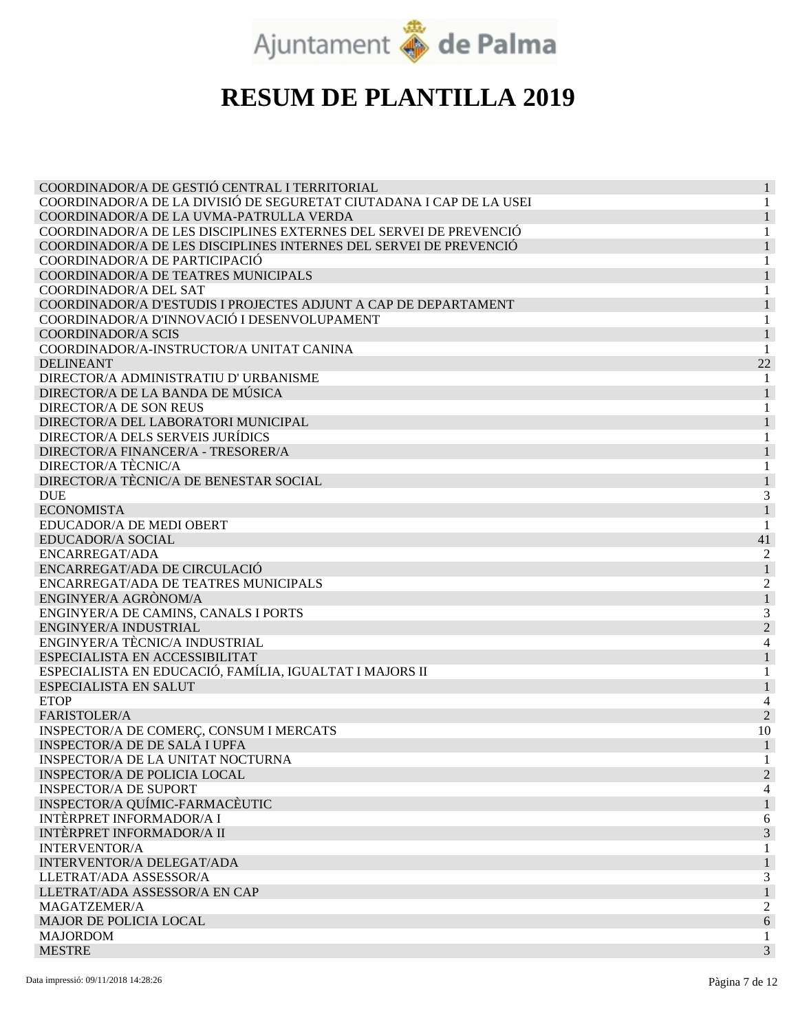

| COORDINADOR/A DE GESTIÓ CENTRAL I TERRITORIAL                       | 1              |
|---------------------------------------------------------------------|----------------|
| COORDINADOR/A DE LA DIVISIÓ DE SEGURETAT CIUTADANA I CAP DE LA USEI |                |
| COORDINADOR/A DE LA UVMA-PATRULLA VERDA                             |                |
| COORDINADOR/A DE LES DISCIPLINES EXTERNES DEL SERVEI DE PREVENCIÓ   |                |
| COORDINADOR/A DE LES DISCIPLINES INTERNES DEL SERVEI DE PREVENCIÓ   |                |
| COORDINADOR/A DE PARTICIPACIÓ                                       | 1              |
| COORDINADOR/A DE TEATRES MUNICIPALS                                 | 1              |
| COORDINADOR/A DEL SAT                                               | 1              |
| COORDINADOR/A D'ESTUDIS I PROJECTES ADJUNT A CAP DE DEPARTAMENT     |                |
| COORDINADOR/A D'INNOVACIÓ I DESENVOLUPAMENT                         |                |
| <b>COORDINADOR/A SCIS</b>                                           |                |
| COORDINADOR/A-INSTRUCTOR/A UNITAT CANINA                            |                |
| <b>DELINEANT</b>                                                    | 22             |
| DIRECTOR/A ADMINISTRATIU D' URBANISME                               |                |
| DIRECTOR/A DE LA BANDA DE MÚSICA                                    | $\mathbf{1}$   |
| <b>DIRECTOR/A DE SON REUS</b>                                       | 1              |
| DIRECTOR/A DEL LABORATORI MUNICIPAL                                 | 1              |
| <b>DIRECTOR/A DELS SERVEIS JURÍDICS</b>                             |                |
| DIRECTOR/A FINANCER/A - TRESORER/A                                  |                |
| DIRECTOR/A TÈCNIC/A                                                 |                |
| DIRECTOR/A TÈCNIC/A DE BENESTAR SOCIAL                              |                |
| <b>DUE</b>                                                          | 3              |
| <b>ECONOMISTA</b>                                                   |                |
| EDUCADOR/A DE MEDI OBERT                                            | 1              |
| <b>EDUCADOR/A SOCIAL</b>                                            | 41             |
| ENCARREGAT/ADA                                                      | 2              |
| ENCARREGAT/ADA DE CIRCULACIÓ                                        |                |
| ENCARREGAT/ADA DE TEATRES MUNICIPALS                                | 2              |
| ENGINYER/A AGRÒNOM/A                                                |                |
| ENGINYER/A DE CAMINS, CANALS I PORTS                                | 3              |
| ENGINYER/A INDUSTRIAL                                               | $\overline{2}$ |
| ENGINYER/A TÈCNIC/A INDUSTRIAL                                      | 4              |
| ESPECIALISTA EN ACCESSIBILITAT                                      |                |
| ESPECIALISTA EN EDUCACIÓ, FAMÍLIA, IGUALTAT I MAJORS II             | 1              |
| <b>ESPECIALISTA EN SALUT</b>                                        |                |
| <b>ETOP</b>                                                         |                |
| FARISTOLER/A                                                        | $\overline{2}$ |
| INSPECTOR/A DE COMERÇ, CONSUM I MERCATS                             | 10             |
| <b>INSPECTOR/A DE DE SALA I UPFA</b>                                | 1              |
| <b>INSPECTOR/A DE LA UNITAT NOCTURNA</b>                            | 1              |
| <b>INSPECTOR/A DE POLICIA LOCAL</b>                                 | $\overline{c}$ |
| <b>INSPECTOR/A DE SUPORT</b>                                        | 4              |
| INSPECTOR/A QUÍMIC-FARMACÈUTIC                                      |                |
| <b>INTÈRPRET INFORMADOR/A I</b>                                     | 6              |
| <b>INTÈRPRET INFORMADOR/A II</b>                                    | 3              |
| <b>INTERVENTOR/A</b>                                                |                |
| INTERVENTOR/A DELEGAT/ADA                                           |                |
| LLETRAT/ADA ASSESSOR/A                                              | 3              |
| LLETRAT/ADA ASSESSOR/A EN CAP                                       | $\mathbf{1}$   |
| MAGATZEMER/A                                                        | 2              |
| MAJOR DE POLICIA LOCAL                                              | 6              |
| <b>MAJORDOM</b>                                                     | 1              |
| <b>MESTRE</b>                                                       | 3              |
|                                                                     |                |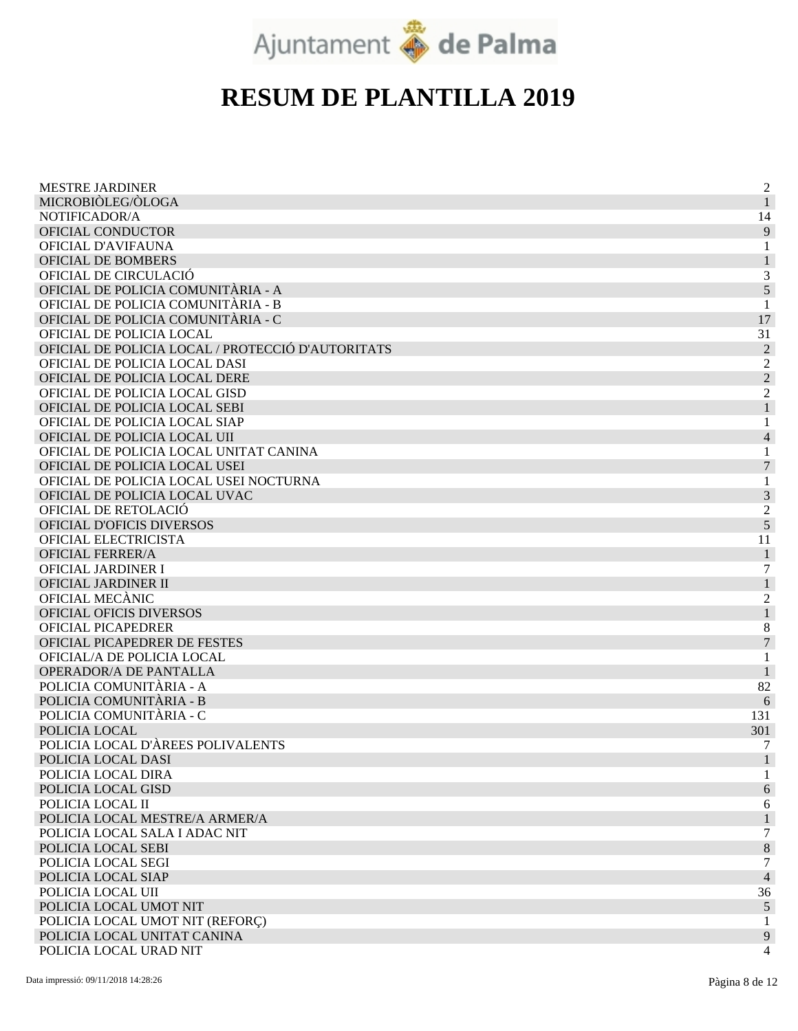

| <b>MESTRE JARDINER</b>                            | $\overline{2}$   |
|---------------------------------------------------|------------------|
| MICROBIÒLEG/ÒLOGA                                 | 1                |
| NOTIFICADOR/A                                     | 14               |
| OFICIAL CONDUCTOR                                 | 9                |
| OFICIAL D'AVIFAUNA                                | 1                |
| OFICIAL DE BOMBERS                                |                  |
| OFICIAL DE CIRCULACIÓ                             | 3                |
| OFICIAL DE POLICIA COMUNITÀRIA - A                | 5                |
| OFICIAL DE POLICIA COMUNITÀRIA - B                |                  |
| OFICIAL DE POLICIA COMUNITÀRIA - C                | 17               |
| OFICIAL DE POLICIA LOCAL                          | 31               |
| OFICIAL DE POLICIA LOCAL / PROTECCIÓ D'AUTORITATS | $\overline{2}$   |
| OFICIAL DE POLICIA LOCAL DASI                     | $\overline{c}$   |
| OFICIAL DE POLICIA LOCAL DERE                     | $\overline{2}$   |
| OFICIAL DE POLICIA LOCAL GISD                     | $\overline{2}$   |
| OFICIAL DE POLICIA LOCAL SEBI                     |                  |
| OFICIAL DE POLICIA LOCAL SIAP                     |                  |
| OFICIAL DE POLICIA LOCAL UII                      | $\overline{4}$   |
| OFICIAL DE POLICIA LOCAL UNITAT CANINA            | 1                |
| OFICIAL DE POLICIA LOCAL USEI                     | 7                |
| OFICIAL DE POLICIA LOCAL USEI NOCTURNA            | 1                |
| OFICIAL DE POLICIA LOCAL UVAC                     | $\mathfrak{Z}$   |
| OFICIAL DE RETOLACIÓ                              | $\overline{c}$   |
| <b>OFICIAL D'OFICIS DIVERSOS</b>                  | 5                |
| OFICIAL ELECTRICISTA                              | 11               |
| <b>OFICIAL FERRER/A</b>                           | $\mathbf{1}$     |
| OFICIAL JARDINER I                                | 7                |
| OFICIAL JARDINER II                               | $\mathbf{1}$     |
| OFICIAL MECÀNIC                                   | $\overline{c}$   |
| <b>OFICIAL OFICIS DIVERSOS</b>                    | $\mathbf{1}$     |
| OFICIAL PICAPEDRER                                | 8                |
| OFICIAL PICAPEDRER DE FESTES                      | $\overline{7}$   |
| OFICIAL/A DE POLICIA LOCAL                        |                  |
| OPERADOR/A DE PANTALLA                            |                  |
| POLICIA COMUNITÀRIA - A                           | 82               |
| POLICIA COMUNITÀRIA - B                           | 6                |
| POLICIA COMUNITÀRIA - C                           | 131              |
| POLICIA LOCAL                                     | 301              |
| POLICIA LOCAL D'ÀREES POLIVALENTS                 | 7                |
| POLICIA LOCAL DASI                                |                  |
| POLICIA LOCAL DIRA                                |                  |
| POLICIA LOCAL GISD                                | 6                |
| POLICIA LOCAL II                                  | 6                |
| POLICIA LOCAL MESTRE/A ARMER/A                    | $\mathbf{1}$     |
| POLICIA LOCAL SALA I ADAC NIT                     | $\boldsymbol{7}$ |
| POLICIA LOCAL SEBI                                | $8\,$            |
| POLICIA LOCAL SEGI                                | 7                |
| POLICIA LOCAL SIAP                                | $\overline{4}$   |
| POLICIA LOCAL UII                                 | 36               |
| POLICIA LOCAL UMOT NIT                            | $\sqrt{5}$       |
| POLICIA LOCAL UMOT NIT (REFORÇ)                   | 1                |
| POLICIA LOCAL UNITAT CANINA                       | 9                |
| POLICIA LOCAL URAD NIT                            | 4                |
|                                                   |                  |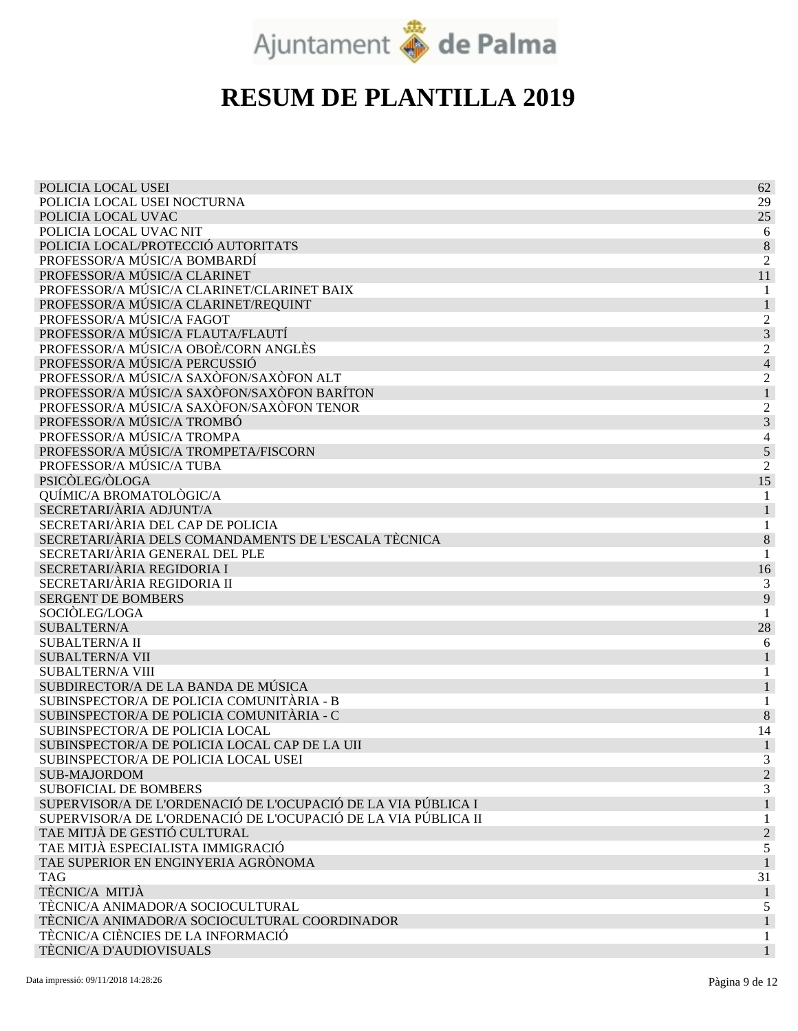

| POLICIA LOCAL USEI                                             | 62                       |
|----------------------------------------------------------------|--------------------------|
| POLICIA LOCAL USEI NOCTURNA                                    | 29                       |
| POLICIA LOCAL UVAC                                             | 25                       |
| POLICIA LOCAL UVAC NIT                                         | 6                        |
| POLICIA LOCAL/PROTECCIÓ AUTORITATS                             | 8                        |
| PROFESSOR/A MÚSIC/A BOMBARDÍ                                   | $\overline{c}$           |
| PROFESSOR/A MÚSIC/A CLARINET                                   | 11                       |
| PROFESSOR/A MÚSIC/A CLARINET/CLARINET BAIX                     | 1                        |
| PROFESSOR/A MÚSIC/A CLARINET/REQUINT                           | $\mathbf{1}$             |
| PROFESSOR/A MÚSIC/A FAGOT                                      | 2                        |
| PROFESSOR/A MÚSIC/A FLAUTA/FLAUTÍ                              | 3                        |
| PROFESSOR/A MÚSIC/A OBOÈ/CORN ANGLÈS                           | 2                        |
| PROFESSOR/A MÚSIC/A PERCUSSIÓ                                  | $\overline{\mathcal{L}}$ |
| PROFESSOR/A MÚSIC/A SAXÒFON/SAXÒFON ALT                        | $\overline{c}$           |
| PROFESSOR/A MÚSIC/A SAXÒFON/SAXÒFON BARÍTON                    |                          |
| PROFESSOR/A MÚSIC/A SAXÒFON/SAXÒFON TENOR                      | $\overline{c}$           |
| PROFESSOR/A MÚSIC/A TROMBÓ                                     | 3                        |
| PROFESSOR/A MÚSIC/A TROMPA                                     | 4                        |
| PROFESSOR/A MÚSIC/A TROMPETA/FISCORN                           | 5                        |
| PROFESSOR/A MÚSIC/A TUBA                                       | 2                        |
| PSICÒLEG/ÒLOGA                                                 | 15                       |
| QUÍMIC/A BROMATOLÒGIC/A                                        |                          |
| SECRETARI/ÀRIA ADJUNT/A                                        |                          |
| SECRETARI/ÀRIA DEL CAP DE POLICIA                              |                          |
| SECRETARI/ÀRIA DELS COMANDAMENTS DE L'ESCALA TÈCNICA           | 8                        |
| SECRETARI/ÀRIA GENERAL DEL PLE                                 | 1                        |
| SECRETARI/ÀRIA REGIDORIA I                                     | 16                       |
| SECRETARI/ÀRIA REGIDORIA II                                    | 3                        |
| <b>SERGENT DE BOMBERS</b>                                      | 9                        |
| SOCIÒLEG/LOGA                                                  |                          |
| <b>SUBALTERN/A</b>                                             | 28                       |
| <b>SUBALTERN/A II</b>                                          | 6                        |
| <b>SUBALTERN/A VII</b>                                         | 1                        |
| <b>SUBALTERN/A VIII</b>                                        | 1                        |
| SUBDIRECTOR/A DE LA BANDA DE MÚSICA                            | 1                        |
| SUBINSPECTOR/A DE POLICIA COMUNITÀRIA - B                      |                          |
| SUBINSPECTOR/A DE POLICIA COMUNITÀRIA - C                      | 8                        |
| SUBINSPECTOR/A DE POLICIA LOCAL                                | 14                       |
| SUBINSPECTOR/A DE POLICIA LOCAL CAP DE LA UII                  |                          |
| SUBINSPECTOR/A DE POLICIA LOCAL USEI                           | 3                        |
| <b>SUB-MAJORDOM</b>                                            | $\overline{2}$           |
| <b>SUBOFICIAL DE BOMBERS</b>                                   | 3                        |
| SUPERVISOR/A DE L'ORDENACIÓ DE L'OCUPACIÓ DE LA VIA PÚBLICA I  |                          |
| SUPERVISOR/A DE L'ORDENACIÓ DE L'OCUPACIÓ DE LA VIA PÚBLICA II | 1                        |
| TAE MITJÀ DE GESTIÓ CULTURAL                                   | $\overline{c}$           |
| TAE MITJÀ ESPECIALISTA IMMIGRACIÓ                              | 5                        |
| TAE SUPERIOR EN ENGINYERIA AGRÒNOMA                            | $\mathbf{1}$             |
| <b>TAG</b>                                                     | 31                       |
| TÈCNIC/A MITJÀ                                                 | 1                        |
| TÈCNIC/A ANIMADOR/A SOCIOCULTURAL                              | 5                        |
| TÈCNIC/A ANIMADOR/A SOCIOCULTURAL COORDINADOR                  | $\mathbf{1}$             |
| TÈCNIC/A CIÈNCIES DE LA INFORMACIÓ                             | 1                        |
| TÈCNIC/A D'AUDIOVISUALS                                        | 1                        |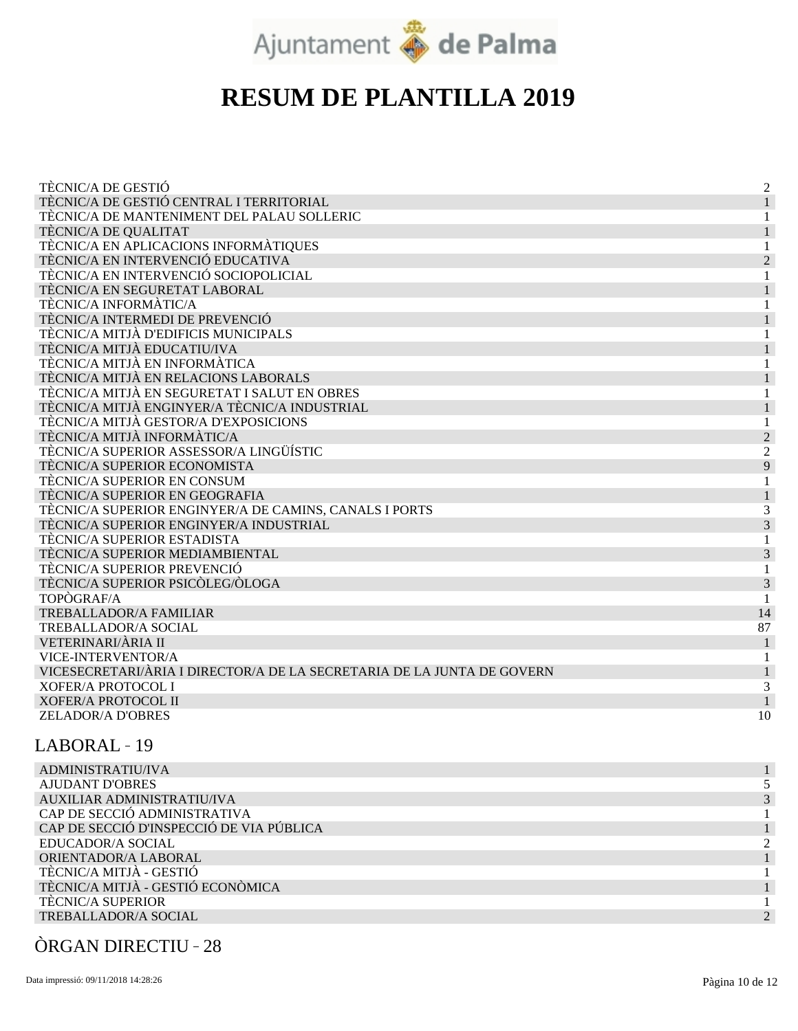

| TÈCNIC/A DE GESTIÓ                                                     | $\overline{2}$              |
|------------------------------------------------------------------------|-----------------------------|
| TÈCNIC/A DE GESTIÓ CENTRAL I TERRITORIAL                               |                             |
| TÈCNIC/A DE MANTENIMENT DEL PALAU SOLLERIC                             |                             |
| TÈCNIC/A DE QUALITAT                                                   |                             |
| TÈCNIC/A EN APLICACIONS INFORMÀTIQUES                                  |                             |
| TÈCNIC/A EN INTERVENCIÓ EDUCATIVA                                      | $\mathcal{D}_{\mathcal{A}}$ |
| TÈCNIC/A EN INTERVENCIÓ SOCIOPOLICIAL                                  |                             |
| TÈCNIC/A EN SEGURETAT LABORAL                                          |                             |
| TÈCNIC/A INFORMÀTIC/A                                                  |                             |
| TÈCNIC/A INTERMEDI DE PREVENCIÓ                                        |                             |
| TÈCNIC/A MITJÀ D'EDIFICIS MUNICIPALS                                   |                             |
| TÈCNIC/A MITJÀ EDUCATIU/IVA                                            |                             |
| TÈCNIC/A MITJÀ EN INFORMÀTICA                                          |                             |
| TÈCNIC/A MITJÀ EN RELACIONS LABORALS                                   |                             |
| TÈCNIC/A MITJÀ EN SEGURETAT I SALUT EN OBRES                           |                             |
| TÈCNIC/A MITJÀ ENGINYER/A TÈCNIC/A INDUSTRIAL                          |                             |
| TÈCNIC/A MITJÀ GESTOR/A D'EXPOSICIONS                                  |                             |
| TÈCNIC/A MITJÀ INFORMÀTIC/A                                            | $\overline{2}$              |
| TÈCNIC/A SUPERIOR ASSESSOR/A LINGÜÍSTIC                                | $\overline{2}$              |
| TÈCNIC/A SUPERIOR ECONOMISTA                                           | 9                           |
| TÈCNIC/A SUPERIOR EN CONSUM                                            |                             |
| TÈCNIC/A SUPERIOR EN GEOGRAFIA                                         |                             |
| TÈCNIC/A SUPERIOR ENGINYER/A DE CAMINS, CANALS I PORTS                 | 3                           |
| TÈCNIC/A SUPERIOR ENGINYER/A INDUSTRIAL                                | 3                           |
| TÈCNIC/A SUPERIOR ESTADISTA                                            |                             |
| TÈCNIC/A SUPERIOR MEDIAMBIENTAL                                        | 3                           |
| TÈCNIC/A SUPERIOR PREVENCIÓ                                            |                             |
| TÈCNIC/A SUPERIOR PSICÒLEG/ÒLOGA                                       | 3                           |
| TOPÒGRAF/A                                                             |                             |
| TREBALLADOR/A FAMILIAR                                                 | 14                          |
| TREBALLADOR/A SOCIAL                                                   | 87                          |
| VETERINARI/ÀRIA II                                                     |                             |
| VICE-INTERVENTOR/A                                                     |                             |
| VICESECRETARI/ÀRIA I DIRECTOR/A DE LA SECRETARIA DE LA JUNTA DE GOVERN |                             |
| <b>XOFER/A PROTOCOL I</b>                                              | 3                           |
| <b>XOFER/A PROTOCOL II</b>                                             |                             |
| <b>ZELADOR/A D'OBRES</b>                                               | 10                          |
|                                                                        |                             |

#### LABORAL 19

| ADMINISTRATIU/IVA                        |  |
|------------------------------------------|--|
| <b>AJUDANT D'OBRES</b>                   |  |
| AUXILIAR ADMINISTRATIU/IVA               |  |
| CAP DE SECCIÓ ADMINISTRATIVA             |  |
| CAP DE SECCIÓ D'INSPECCIÓ DE VIA PÚBLICA |  |
| EDUCADOR/A SOCIAL                        |  |
| ORIENTADOR/A LABORAL                     |  |
| TÈCNIC/A MITJÀ - GESTIÓ                  |  |
| TÈCNIC/A MITJÀ - GESTIÓ ECONÒMICA        |  |
| <b>TECNIC/A SUPERIOR</b>                 |  |
| TREBALLADOR/A SOCIAL                     |  |
|                                          |  |

#### ÒRGAN DIRECTIU 28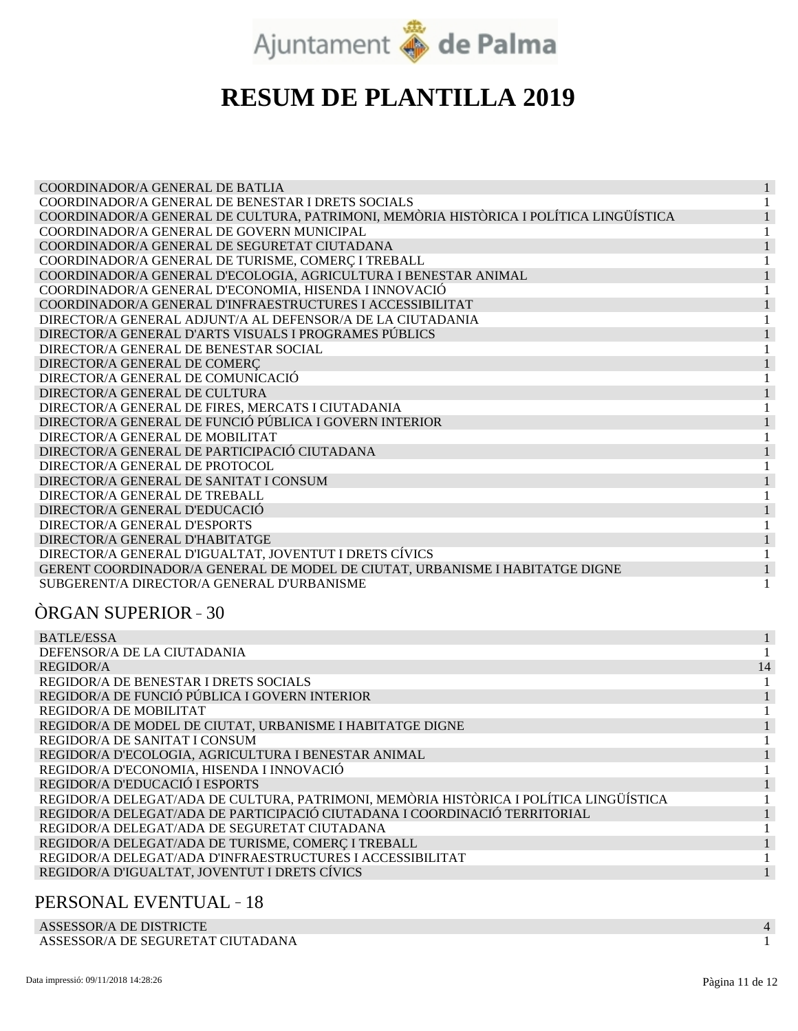

| COORDINADOR/A GENERAL DE BATLIA                                                       |  |
|---------------------------------------------------------------------------------------|--|
| COORDINADOR/A GENERAL DE BENESTAR I DRETS SOCIALS                                     |  |
| COORDINADOR/A GENERAL DE CULTURA, PATRIMONI, MEMÒRIA HISTÒRICA I POLÍTICA LINGÜÍSTICA |  |
| COORDINADOR/A GENERAL DE GOVERN MUNICIPAL                                             |  |
| COORDINADOR/A GENERAL DE SEGURETAT CIUTADANA                                          |  |
| COORDINADOR/A GENERAL DE TURISME, COMERÇ I TREBALL                                    |  |
| COORDINADOR/A GENERAL D'ECOLOGIA, AGRICULTURA I BENESTAR ANIMAL                       |  |
| COORDINADOR/A GENERAL D'ECONOMIA, HISENDA I INNOVACIÓ                                 |  |
| COORDINADOR/A GENERAL D'INFRAESTRUCTURES I ACCESSIBILITAT                             |  |
| DIRECTOR/A GENERAL ADJUNT/A AL DEFENSOR/A DE LA CIUTADANIA                            |  |
| DIRECTOR/A GENERAL D'ARTS VISUALS I PROGRAMES PÚBLICS                                 |  |
| DIRECTOR/A GENERAL DE BENESTAR SOCIAL                                                 |  |
| DIRECTOR/A GENERAL DE COMERÇ                                                          |  |
| DIRECTOR/A GENERAL DE COMUNICACIÓ                                                     |  |
| DIRECTOR/A GENERAL DE CULTURA                                                         |  |
| DIRECTOR/A GENERAL DE FIRES, MERCATS I CIUTADANIA                                     |  |
| DIRECTOR/A GENERAL DE FUNCIÓ PÚBLICA I GOVERN INTERIOR                                |  |
| DIRECTOR/A GENERAL DE MOBILITAT                                                       |  |
| DIRECTOR/A GENERAL DE PARTICIPACIÓ CIUTADANA                                          |  |
| DIRECTOR/A GENERAL DE PROTOCOL                                                        |  |
| DIRECTOR/A GENERAL DE SANITAT I CONSUM                                                |  |
| DIRECTOR/A GENERAL DE TREBALL                                                         |  |
| DIRECTOR/A GENERAL D'EDUCACIÓ                                                         |  |
| DIRECTOR/A GENERAL D'ESPORTS                                                          |  |
| DIRECTOR/A GENERAL D'HABITATGE                                                        |  |
| DIRECTOR/A GENERAL D'IGUALTAT, JOVENTUT I DRETS CÍVICS                                |  |
| GERENT COORDINADOR/A GENERAL DE MODEL DE CIUTAT, URBANISME I HABITATGE DIGNE          |  |
| SUBGERENT/A DIRECTOR/A GENERAL D'URBANISME                                            |  |

#### ÒRGAN SUPERIOR 30

| <b>BATLE/ESSA</b>                                                                     |    |
|---------------------------------------------------------------------------------------|----|
| DEFENSOR/A DE LA CIUTADANIA                                                           |    |
| <b>REGIDOR/A</b>                                                                      | 14 |
| REGIDOR/A DE BENESTAR I DRETS SOCIALS                                                 |    |
| REGIDOR/A DE FUNCIÓ PÚBLICA I GOVERN INTERIOR                                         |    |
| REGIDOR/A DE MOBILITAT                                                                |    |
| REGIDOR/A DE MODEL DE CIUTAT, URBANISME I HABITATGE DIGNE                             |    |
| REGIDOR/A DE SANITAT I CONSUM                                                         |    |
| REGIDOR/A D'ECOLOGIA, AGRICULTURA I BENESTAR ANIMAL                                   |    |
| REGIDOR/A D'ECONOMIA, HISENDA I INNOVACIÓ                                             |    |
| REGIDOR/A D'EDUCACIÓ I ESPORTS                                                        |    |
| REGIDOR/A DELEGAT/ADA DE CULTURA, PATRIMONI, MEMÒRIA HISTÒRICA I POLÍTICA LINGÜÍSTICA |    |
| REGIDOR/A DELEGAT/ADA DE PARTICIPACIÓ CIUTADANA I COORDINACIÓ TERRITORIAL             |    |
| REGIDOR/A DELEGAT/ADA DE SEGURETAT CIUTADANA                                          |    |
| REGIDOR/A DELEGAT/ADA DE TURISME, COMERÇ I TREBALL                                    |    |
| REGIDOR/A DELEGAT/ADA D'INFRAESTRUCTURES I ACCESSIBILITAT                             |    |
| REGIDOR/A D'IGUALTAT, JOVENTUT I DRETS CÍVICS                                         |    |

#### PERSONAL EVENTUAL 18

ASSESSOR/A DE DISTRICTE ASSESSOR/A DE SEGURETAT CIUTADANA 4 1